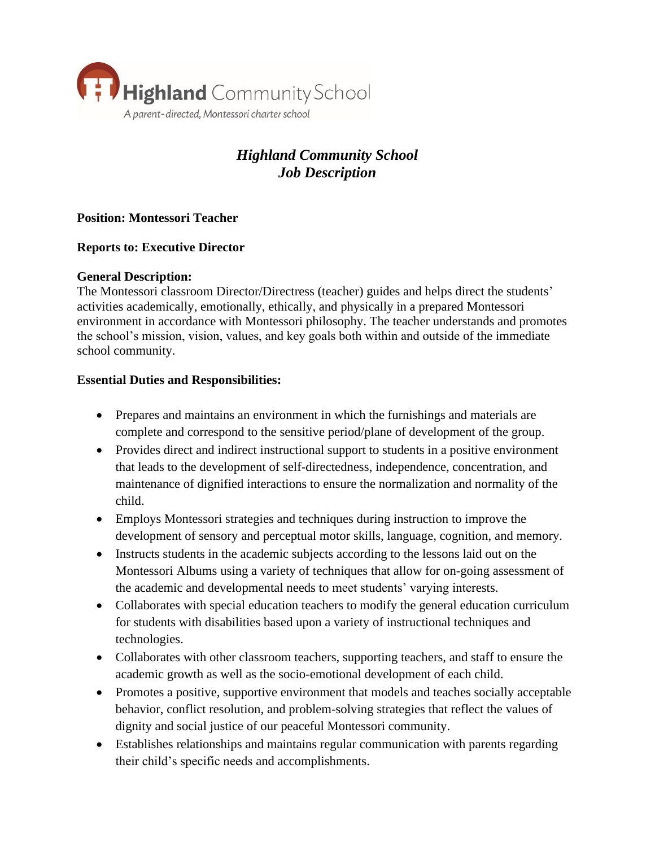

# *Highland Community School Job Description*

## **Position: Montessori Teacher**

## **Reports to: Executive Director**

#### **General Description:**

The Montessori classroom Director/Directress (teacher) guides and helps direct the students' activities academically, emotionally, ethically, and physically in a prepared Montessori environment in accordance with Montessori philosophy. The teacher understands and promotes the school's mission, vision, values, and key goals both within and outside of the immediate school community.

#### **Essential Duties and Responsibilities:**

- Prepares and maintains an environment in which the furnishings and materials are complete and correspond to the sensitive period/plane of development of the group.
- Provides direct and indirect instructional support to students in a positive environment that leads to the development of self-directedness, independence, concentration, and maintenance of dignified interactions to ensure the normalization and normality of the child.
- Employs Montessori strategies and techniques during instruction to improve the development of sensory and perceptual motor skills, language, cognition, and memory.
- Instructs students in the academic subjects according to the lessons laid out on the Montessori Albums using a variety of techniques that allow for on-going assessment of the academic and developmental needs to meet students' varying interests.
- Collaborates with special education teachers to modify the general education curriculum for students with disabilities based upon a variety of instructional techniques and technologies.
- Collaborates with other classroom teachers, supporting teachers, and staff to ensure the academic growth as well as the socio-emotional development of each child.
- Promotes a positive, supportive environment that models and teaches socially acceptable behavior, conflict resolution, and problem-solving strategies that reflect the values of dignity and social justice of our peaceful Montessori community.
- Establishes relationships and maintains regular communication with parents regarding their child's specific needs and accomplishments.